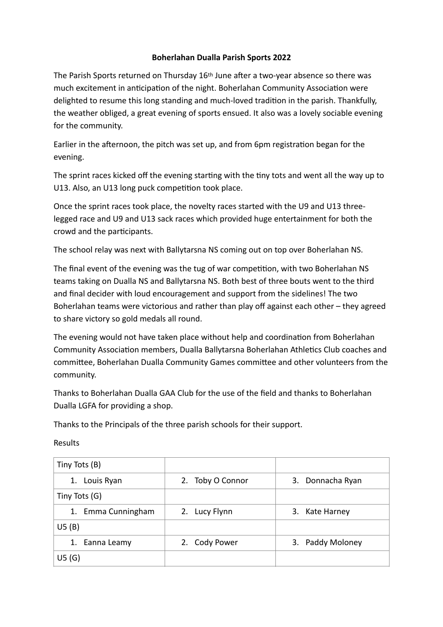## **Boherlahan Dualla Parish Sports 2022**

The Parish Sports returned on Thursday 16th June after a two-year absence so there was much excitement in anticipation of the night. Boherlahan Community Association were delighted to resume this long standing and much-loved tradition in the parish. Thankfully, the weather obliged, a great evening of sports ensued. It also was a lovely sociable evening for the community.

Earlier in the afternoon, the pitch was set up, and from 6pm registration began for the evening.

The sprint races kicked off the evening starting with the tiny tots and went all the way up to U13. Also, an U13 long puck competition took place.

Once the sprint races took place, the novelty races started with the U9 and U13 threelegged race and U9 and U13 sack races which provided huge entertainment for both the crowd and the participants.

The school relay was next with Ballytarsna NS coming out on top over Boherlahan NS.

The final event of the evening was the tug of war competition, with two Boherlahan NS teams taking on Dualla NS and Ballytarsna NS. Both best of three bouts went to the third and final decider with loud encouragement and support from the sidelines! The two Boherlahan teams were victorious and rather than play off against each other – they agreed to share victory so gold medals all round.

The evening would not have taken place without help and coordination from Boherlahan Community Association members, Dualla Ballytarsna Boherlahan Athletics Club coaches and committee, Boherlahan Dualla Community Games committee and other volunteers from the community.

Thanks to Boherlahan Dualla GAA Club for the use of the field and thanks to Boherlahan Dualla LGFA for providing a shop.

Thanks to the Principals of the three parish schools for their support.

Results

| Tiny Tots (B)      |                  |                  |
|--------------------|------------------|------------------|
| Louis Ryan<br>1.   | 2. Toby O Connor | 3. Donnacha Ryan |
| Tiny Tots (G)      |                  |                  |
| 1. Emma Cunningham | 2. Lucy Flynn    | 3. Kate Harney   |
| US(B)              |                  |                  |
| 1. Eanna Leamy     | 2. Cody Power    | 3. Paddy Moloney |
| US(G)              |                  |                  |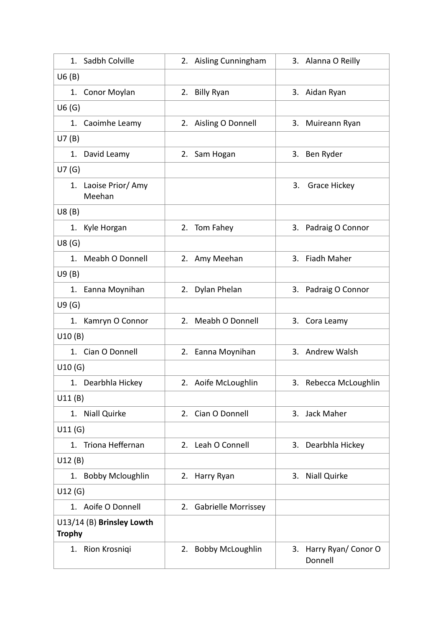| Sadbh Colville<br>1.                       | 2. Aisling Cunningham  | 3. Alanna O Reilly               |
|--------------------------------------------|------------------------|----------------------------------|
| U6(B)                                      |                        |                                  |
| 1. Conor Moylan                            | 2. Billy Ryan          | 3. Aidan Ryan                    |
| U6(G)                                      |                        |                                  |
| 1. Caoimhe Leamy                           | 2. Aisling O Donnell   | 3. Muireann Ryan                 |
| U7(B)                                      |                        |                                  |
| David Leamy<br>1.                          | 2. Sam Hogan           | 3. Ben Ryder                     |
| U7(G)                                      |                        |                                  |
| 1. Laoise Prior/ Amy<br>Meehan             |                        | Grace Hickey<br>3.               |
| UB(B)                                      |                        |                                  |
| 1. Kyle Horgan                             | 2. Tom Fahey           | 3. Padraig O Connor              |
| US(G)                                      |                        |                                  |
| 1. Meabh O Donnell                         | 2. Amy Meehan          | 3. Fiadh Maher                   |
| U9(B)                                      |                        |                                  |
| 1. Eanna Moynihan                          | 2. Dylan Phelan        | 3. Padraig O Connor              |
| U9(G)                                      |                        |                                  |
| 1. Kamryn O Connor                         | 2. Meabh O Donnell     | 3. Cora Leamy                    |
| U10(B)                                     |                        |                                  |
| 1. Cian O Donnell                          | 2. Eanna Moynihan      | 3. Andrew Walsh                  |
| U10(G)                                     |                        |                                  |
| 1. Dearbhla Hickey                         | 2. Aoife McLoughlin    | 3. Rebecca McLoughlin            |
| U11(B)                                     |                        |                                  |
| <b>Niall Quirke</b><br>1.                  | 2. Cian O Donnell      | 3. Jack Maher                    |
| U11(G)                                     |                        |                                  |
| Triona Heffernan<br>1 <sup>1</sup>         | 2. Leah O Connell      | 3. Dearbhla Hickey               |
| U12(B)                                     |                        |                                  |
| <b>Bobby Mcloughlin</b><br>1.              | 2. Harry Ryan          | Niall Quirke<br>3.               |
| U12(G)                                     |                        |                                  |
| 1. Aoife O Donnell                         | 2. Gabrielle Morrissey |                                  |
| U13/14 (B) Brinsley Lowth<br><b>Trophy</b> |                        |                                  |
| 1. Rion Krosniqi                           | 2. Bobby McLoughlin    | 3. Harry Ryan/Conor O<br>Donnell |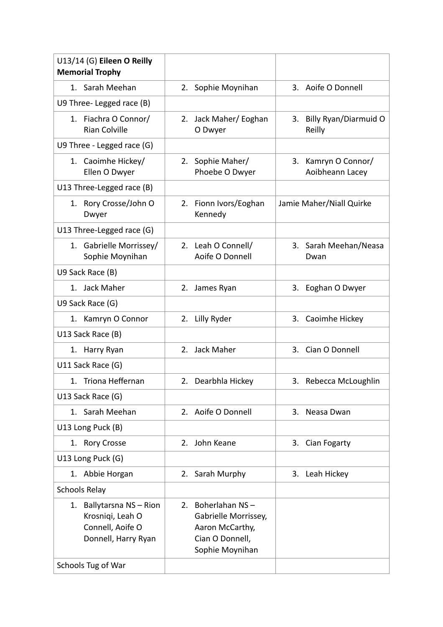| U13/14 (G) Eileen O Reilly<br><b>Memorial Trophy</b>                                       |                                                                                                    |                                        |
|--------------------------------------------------------------------------------------------|----------------------------------------------------------------------------------------------------|----------------------------------------|
| 1. Sarah Meehan                                                                            | 2. Sophie Moynihan                                                                                 | 3. Aoife O Donnell                     |
| U9 Three- Legged race (B)                                                                  |                                                                                                    |                                        |
| 1. Fiachra O Connor/<br><b>Rian Colville</b>                                               | Jack Maher/ Eoghan<br>2.<br>O Dwyer                                                                | Billy Ryan/Diarmuid O<br>3.<br>Reilly  |
| U9 Three - Legged race (G)                                                                 |                                                                                                    |                                        |
| 1. Caoimhe Hickey/<br>Ellen O Dwyer                                                        | Sophie Maher/<br>2.<br>Phoebe O Dwyer                                                              | 3. Kamryn O Connor/<br>Aoibheann Lacey |
| U13 Three-Legged race (B)                                                                  |                                                                                                    |                                        |
| 1. Rory Crosse/John O<br>Dwyer                                                             | 2. Fionn Ivors/Eoghan<br>Kennedy                                                                   | Jamie Maher/Niall Quirke               |
| U13 Three-Legged race (G)                                                                  |                                                                                                    |                                        |
| 1. Gabrielle Morrissey/<br>Sophie Moynihan                                                 | 2. Leah O Connell/<br>Aoife O Donnell                                                              | 3. Sarah Meehan/Neasa<br>Dwan          |
| U9 Sack Race (B)                                                                           |                                                                                                    |                                        |
| 1. Jack Maher                                                                              | James Ryan<br>2.                                                                                   | 3. Eoghan O Dwyer                      |
| U9 Sack Race (G)                                                                           |                                                                                                    |                                        |
| Kamryn O Connor<br>1.                                                                      | 2. Lilly Ryder                                                                                     | 3. Caoimhe Hickey                      |
| U13 Sack Race (B)                                                                          |                                                                                                    |                                        |
| 1. Harry Ryan                                                                              | 2. Jack Maher                                                                                      | 3. Cian O Donnell                      |
| U11 Sack Race (G)                                                                          |                                                                                                    |                                        |
| 1. Triona Heffernan                                                                        | 2. Dearbhla Hickey                                                                                 | 3. Rebecca McLoughlin                  |
| U13 Sack Race (G)                                                                          |                                                                                                    |                                        |
| Sarah Meehan<br>1.                                                                         | 2. Aoife O Donnell                                                                                 | Neasa Dwan<br>3.                       |
| U13 Long Puck (B)                                                                          |                                                                                                    |                                        |
| 1. Rory Crosse                                                                             | 2. John Keane                                                                                      | Cian Fogarty<br>3.                     |
| U13 Long Puck (G)                                                                          |                                                                                                    |                                        |
| 1. Abbie Horgan                                                                            | 2. Sarah Murphy                                                                                    | 3. Leah Hickey                         |
| <b>Schools Relay</b>                                                                       |                                                                                                    |                                        |
| Ballytarsna NS - Rion<br>1.<br>Krosniqi, Leah O<br>Connell, Aoife O<br>Donnell, Harry Ryan | 2. Boherlahan NS-<br>Gabrielle Morrissey,<br>Aaron McCarthy,<br>Cian O Donnell,<br>Sophie Moynihan |                                        |
| Schools Tug of War                                                                         |                                                                                                    |                                        |